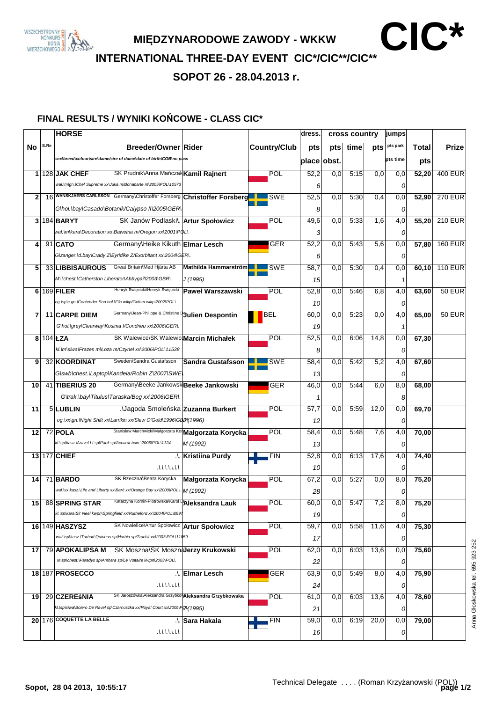

**MIĘDZYNARODOWE ZAWODY - WKKW <b>CIC\*** 

**INTERNATIONAL THREE-DAY EVENT CIC\*/CIC\*\*/CIC\*\***

**SOPOT 26 - 28.04.2013 r.**

## **FINAL RESULTS / WYNIKI KO**Ń**COWE - CLASS CIC\***

|              |      | <b>HORSE</b>                                                                   |                           |                     | dress.      | cross country    |      | <b>jumps</b> |          |       |                |
|--------------|------|--------------------------------------------------------------------------------|---------------------------|---------------------|-------------|------------------|------|--------------|----------|-------|----------------|
| No           | S.Re | <b>Breeder/Owner Rider</b>                                                     |                           | <b>Country/Club</b> | pts         | pts              | time | pts          | pts park | Total | <b>Prize</b>   |
|              |      | sex\breed\colour\sire\dame/sire of dame\date of birth\COB\no pass              |                           |                     | place obst. |                  |      |              | pts time | pts   |                |
|              |      | $1 128$ JAK CHEF<br>SK Prudnik\Anna Mańczak Kamil Rajnert                      |                           | POL                 | 52,2        | 0,0              | 5:15 | 0,0          | 0,0      | 52,20 | <b>400 EUR</b> |
|              |      | wał. \m\gn. \Chef Supreme xx\Juka m/Bonaparte m\2005\POL\10573                 |                           |                     | 6           |                  |      |              | 0        |       |                |
| $\mathbf{2}$ |      | 16 WANSKJAERS CARLSSON Germany\Christoffer Forsberg Christoffer Forsberg       |                           | SWE                 | 52,5        | 0,0              | 5:30 | 0,4          | 0,0      | 52,90 | <b>270 EUR</b> |
|              |      | G\hol.\bay\Casado\Botanik/Calypso II\2005\GER\                                 |                           |                     | 8           |                  |      |              | 0        |       |                |
|              |      | $3 184 $ BARYT<br>SK Janów Podlaski\. Artur Społowicz                          |                           | POL                 | 49,6        | 0,0              | 5:33 | 1,6          | 4,0      | 55,20 | <b>210 EUR</b> |
|              |      | wał. \m\kara\Decoration xo\Bawełna m/Oregon xx\2001\PQL\.                      |                           |                     | 3           |                  |      |              | 0        |       |                |
| 4            |      | $91$ $CATO$<br>Germany\Heike Kikuth Elmar Lesch                                |                           | <b>GER</b>          | 52,2        | 0,0              | 5:43 | 5,6          | 0,0      | 57,80 | <b>160 EUR</b> |
|              |      | G\zanger.\d.bay\Crady Z\Eyridike Z/Exorbitant xx\2004\GER\.                    |                           |                     | 6           |                  |      |              | 0        |       |                |
| 5            |      | Great Britain\Med Hjärta AB<br>33 LIBBISAUROUS                                 | Mathilda Hammarström      | <b>SWE</b>          | 58,7        | 0,0              | 5:30 | 0,4          | 0,0      | 60,10 | <b>110 EUR</b> |
|              |      | M\\chest.\Catherston Liberator\Abbygail\2003\GBR\.                             | J (1995)                  |                     |             |                  |      |              |          |       |                |
|              |      | Henryk Święcicki\Henryk Święcicki<br>$6 169 $ FILER                            | Paweł Warszawski          | POL                 | 15<br>52,8  | 0.0              | 5:46 | 6,8          | 1<br>4,0 |       | <b>50 EUR</b>  |
|              |      | og.\sp\c.gn.\Contender Son hol.\Fila wlkp/Golem wlkp\2002\POL\.                |                           |                     |             |                  |      |              |          | 63,60 |                |
|              |      |                                                                                |                           |                     | 10          |                  |      |              | 0        |       |                |
| 7            |      | Germany\Jean-Philippe & Christine <b>Qulien Despontin</b><br>11 CARPE DIEM     |                           | BEL                 | 60,0        | 0.0              | 5:23 | 0,0          | 4,0      | 65,00 | $50$ EUR       |
|              |      | G\hol.\grey\Clearway\Kosima I/Condrieu xx\2006\GER\.                           |                           |                     | 19          |                  |      |              | -1       |       |                |
|              |      | 8 $104$ ŁZA<br>SK Walewice\SK WalewiceMarcin Michałek                          |                           | POL                 | 52,5        | 0,0              | 6:06 | 14,8         | 0,0      | 67,30 |                |
|              |      | kl. \m\siwa\Frazes m\Łoza m/Czynel xx\2006\POL\11538                           |                           |                     | 8           |                  |      |              | 0        |       |                |
| 9            |      | Sweden\Sandra Gustafsson<br>32 KOORDINAT                                       | <b>Sandra Gustafsson</b>  | <b>SWE</b>          | 58,4        | 0,0              | 5:42 | 5,2          | 4,0      | 67,60 |                |
|              |      | G\swb\chest.\Laptop\Kandela/Robin Z\2007\SWE\\.                                |                           |                     | 13          |                  |      |              | 0        |       |                |
| 10           |      | Germany\Beeke JankowskiBeeke Jankowski<br>41 TIBERIUS 20                       |                           | <b>GER</b>          | 46,0        | 0.0              | 5:44 | 6,0          | 8,0      | 68,00 |                |
|              |      | G\trak.\bay\Titulus\Taraska/Beg xx\2006\GER\.                                  |                           |                     |             |                  |      |              | 8        |       |                |
| 11           |      | 5 LUBLIN<br>.\Jagoda Smoleńska Zuzanna Burkert                                 |                           | POL                 | 57,7        | 0,0              | 5:59 | 12,0         | 0,0      | 69,70 |                |
|              |      | og. vxlgn. Wight Shift xxlLarrikin xx/Slew O'Gold\1996\GBR\(1996)              |                           |                     | 12          |                  |      |              | 0        |       |                |
| 12           |      | Stanisław MarchwickiWałgorzata Kor <b>Małgorzata Korycka</b><br>$72$ POLA      |                           | POL                 | 58,4        | 0,0              | 5:48 | 7,6          | 4,0      | 70,00 |                |
|              |      | kl. \sp\kasz.\Aravel II sp\Pauli sp/Accarat baw.\2006\POL\1124                 | M (1992)                  |                     | 13          |                  |      |              | 0        |       |                |
|              |      | 13 177 CHIEF                                                                   | <b>A. Kristiina Purdy</b> | <b>FIN</b>          | 52,8        | 0,0              | 6:13 | 17,6         | 4,0      | 74,40 |                |
|              |      | 1111111                                                                        |                           |                     | 10          |                  |      |              | 0        |       |                |
| 14           |      | SK Rzeczna\Beata Korycka<br>71 BARDO                                           | Małgorzata Korycka        | POL                 | 67,2        | 0,0              | 5:27 | 0,0          | 8,0      | 75,20 |                |
|              |      | wał. \xx\kasz. \Life and Liberty xx\Barc xx/Orange Bay xx\2000\POL\   M (1992) |                           |                     | 28          |                  |      |              | 0        |       |                |
|              |      | Katarzyna Kornin-Piotrowska\Karol  Aleksandra Lauk<br>15 88 SPRING STAR        |                           | <b>POL</b>          | 60,0        | $\overline{0,0}$ | 5:47 | 7,2          | 8,0      | 75,20 |                |
|              |      | kl. \sp\kara\Sir Neel kwpn\Springfield xx/Rutheford xx\2004\POL\0997           |                           |                     | 19          |                  |      |              | 0        |       |                |
|              |      | SK Nowielice\Artur Społowicz<br>16 149 HASZYSZ                                 | <b>Artur Społowicz</b>    | POL                 | 59,7        | 0,0              | 5:58 | 11,6         | 4,0      | 75,30 |                |
|              |      | wał.\sp\kasz.\Turbud Quirinus sp\Harbia sp/Trachit xx\2003\POL\11\b59          |                           |                     | 17          |                  |      |              | 0        |       |                |
| 17           |      | SK Moszna\SK MosznaJerzy Krukowski<br>79 APOKALIPSA M                          |                           | POL                 | 62,0        | 0,0              | 6:03 | 13,6         | 0,0      | 75,60 |                |
|              |      | M\sp\chest.\Paradys sp\Amhara sp/Le Voltaire kwpn\2003\POL\.                   |                           |                     | 22          |                  |      |              | 0        |       |                |
|              |      | 18 187 PROSECCO                                                                | .\. Elmar Lesch           | <b>GER</b>          | 63,9        | $_{0,0}$         | 5:49 | 8,0          | 4,0      | 75,90 |                |
|              |      | 7111111                                                                        |                           |                     | 24          |                  |      |              | 0        |       |                |
| 19           |      | SK Jaroszówka\Aleksandra GrzybkowAleksandra Grzybkowska<br>29 CZEREŚNIA        |                           | POL                 | 61,0        | 0,0              | 6:03 | 13,6         | 4,0      | 78,60 |                |
|              |      | kl.\sp\siwa\Bolero De Ravel sp\Czarnuszka xx/Royal Court xx\2005\P QL(1995)    |                           |                     | 21          |                  |      |              | 0        |       |                |
|              |      | 20 176 COQUETTE LA BELLE                                                       | ∴ Sara Hakala             | <b>FIN</b>          | 59,0        | 0,0              | 6:19 | 20,0         | 0,0      | 79,00 |                |
|              |      | 1111111.                                                                       |                           |                     | 16          |                  |      |              | 0        |       |                |
|              |      |                                                                                |                           |                     |             |                  |      |              |          |       |                |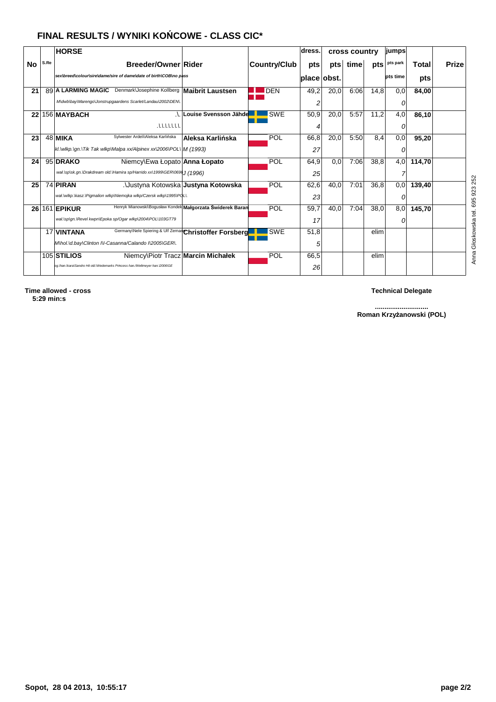# **FINAL RESULTS / WYNIKI KO**Ń**COWE - CLASS CIC\***

|                 |      | <b>HORSE</b>                                                                       |                                     |                     | dress.      | cross country |      |      | <b>jumps</b>    |        |              |
|-----------------|------|------------------------------------------------------------------------------------|-------------------------------------|---------------------|-------------|---------------|------|------|-----------------|--------|--------------|
| No              | S.Re | Breeder/Owner Rider                                                                |                                     | <b>Country/Club</b> | pts         | pts           | time | pts  | pts park        | Total  | <b>Prize</b> |
|                 |      | sex\breed\colour\sire\dame/sire of dame\date of birth\COB\no pass                  |                                     |                     | place obst. |               |      |      | <b>pts time</b> | pts    |              |
| 21              |      | Denmark\Josephine Kollberg<br>89 A LARMING MAGIC                                   | Maibrit Laustsen                    | <b>IDEN</b>         | 49,2        | 20,0          | 6:06 | 14,8 | 0,0             | 84,00  |              |
|                 |      | M\dwb\bay\Marengo\Jonstrupgaardens Scarlet/Landau\2002\DEN\.                       |                                     |                     | 2           |               |      |      |                 |        |              |
| 22 <sub>1</sub> |      | 156 MAYBACH                                                                        | Louise Svensson Jähde               | <b>SWE</b>          | 50,9        | 20,0          | 5:57 | 11,2 | 4,0             | 86,10  |              |
|                 |      | 1111111                                                                            |                                     |                     | 4           |               |      |      | 0               |        |              |
| 23              |      | Sylwester Ardeli\Aleksa Karlińska<br>$48$ MIKA                                     | Aleksa Karlińska                    | POL                 | 66,8        | 20,0          | 5:50 | 8.4  | 0,0             | 95,20  |              |
|                 |      | kl. \wlkp.\gn.\Tik Tak wlkp\Malpa xx/Alpinex xx\2006\POL\  M (1993)                |                                     |                     | 27          |               |      |      | 0               |        |              |
| 24              |      | 95 DRAKO<br>Niemcy\Ewa Łopato Anna Łopato                                          |                                     | POL                 | 64,9        | 0,0           | 7:06 | 38,8 | 4,0             | 114.70 |              |
|                 |      | wał. \sp\sk.gn. \Drakdream old. \Hamira sp/Harrido xx\1999\GER\069\\ (1996)        |                                     |                     | 25          |               |      |      |                 |        |              |
| 25              |      | 74 PIRAN                                                                           | .∖Justyna Kotowska Justyna Kotowska | POL                 | 62,6        | 40,0          | 7:01 | 36.8 | 0,0             | 139,40 |              |
|                 |      | wał. wlkp. Wasz. VPigmalion wlkp Wiemojka wlkp/Czersk wlkp \1995\PQL\.             |                                     |                     | 23          |               |      |      |                 |        |              |
|                 |      | Henryk Mianowski\Bogusław Kondek Małgorzata Świderek Baran<br>26 161 <b>EPIKUR</b> |                                     | POL                 | 59,7        | 40,0          | 7:04 | 38,0 | 8,0             | 145,70 |              |
|                 |      | wał.\sp\qn.\Revel kwpn\Epoka sp/Oqar wlkp\2004\POL\103GT79                         |                                     |                     | 17          |               |      |      | 0               |        |              |
|                 |      | Germany\Nele Spiering & Ulf Zeman Christoffer Forsberg<br>17 VINTANA               |                                     | <b>SWE</b>          | 51,8        |               |      | elim |                 |        |              |
|                 |      | M\hol.\d.bay\Clinton I\l-Casanna/Calando I\2005\GER\.                              |                                     |                     | 5           |               |      |      |                 |        |              |
|                 |      | 105 STILIOS<br>Niemcy\Piotr Tracz Marcin Michałek                                  |                                     | POL                 | 66,5        |               |      | elim |                 |        |              |
|                 |      | og. Vhan. Ikara\Sandro Hit old. Wedemarks Princess han./Weltmeyer han. \2006\GE    |                                     |                     | 26          |               |      |      |                 |        |              |

**............................ Roman Krzy**ż**anowski (POL)**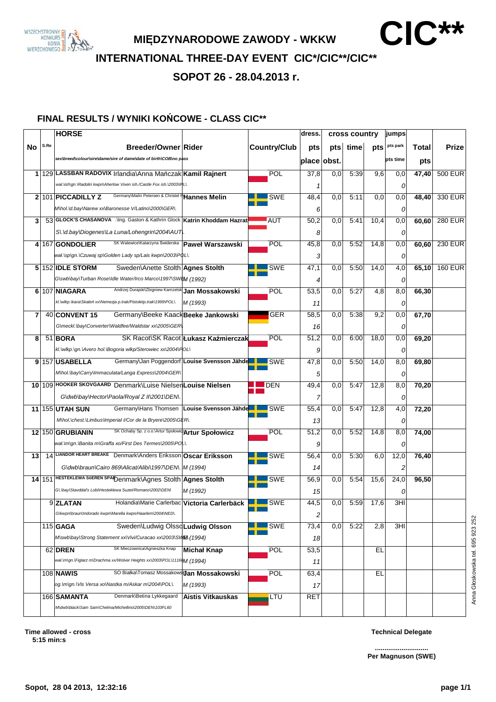

**MI**Ę**DZYNARODOWE ZAWODY - WKKW CIC\*\***

**INTERNATIONAL THREE-DAY EVENT CIC\*/CIC\*\*/CIC\*\***

**SOPOT 26 - 28.04.2013 r.**

### **FINAL RESULTS / WYNIKI KO**Ń**COWE - CLASS CIC\*\***

|    |      | <b>HORSE</b>                                                                                                           |                                      |                     | dress.      | cross country    |      | jumps |          |       |                |
|----|------|------------------------------------------------------------------------------------------------------------------------|--------------------------------------|---------------------|-------------|------------------|------|-------|----------|-------|----------------|
| No | S.Re | Breeder/Owner Rider                                                                                                    |                                      | <b>Country/Club</b> | pts         | pts              | time | pts   | pts park | Total | <b>Prize</b>   |
|    |      | sex\breed\colour\sire\dame/sire of dame\date of birth\COB\no pass                                                      |                                      |                     | place obst. |                  |      |       | pts time | pts   |                |
|    |      | 1 129 LASSBAN RADOVIX Irlandia\Anna Mańczak Kamil Rajnert                                                              |                                      | POL                 | 37,8        | 0,0              | 5:39 | 9,6   | 0,0      | 47,40 | <b>500 EUR</b> |
|    |      | wał. \ish\gn. \Radolin kwpn\Aherlow Vixen ish./Castle Fox ish. \2003\IRL\.                                             |                                      |                     |             |                  |      |       | 0        |       |                |
|    |      | Germany\Malin Petersen & Christel PHannes Melin<br>2 101 PICCADILLY Z                                                  |                                      | SWE                 | 48,4        | 0,0              | 5:11 | 0,0   | 0,0      | 48,40 | 330 EUR        |
|    |      | M\hol.\d.bay\Narew xx\Baronesse V/Latino\2000\GER\.                                                                    |                                      |                     | 6           |                  |      |       | 0        |       |                |
| 3  |      | 53 GLOCK'S CHASANOVA . \Ing. Gaston & Kathrin Glock   Katrin Khoddam Hazrat                                            |                                      | <b>AUT</b>          | 50,2        | 0,0              | 5:41 | 10,4  | 0,0      | 60,60 | <b>280 EUR</b> |
|    |      | S\.\d.bay\Diogenes\La Luna/Lohengrin\2004\AUT\.                                                                        |                                      |                     | 8           |                  |      |       | 0        |       |                |
|    |      | SK Walewice\Katarzyna Świderska<br>4 167 GONDOLIER                                                                     | Paweł Warszawski                     | POL                 | 45,8        | 0,0              | 5:52 | 14,8  | 0,0      | 60,60 | <b>230 EUR</b> |
|    |      | wał.\sp\gn.\Czuwaj sp\Golden Lady sp/Lais kwpn\2003\P\DL\.                                                             |                                      |                     | 3           |                  |      |       | 0        |       |                |
|    |      | $5 152 $ IDLE STORM<br>Sweden\Anette Stolth Agnes Stolth                                                               |                                      | SWE                 | 47,1        | 0,0              | 5:50 | 14,0  | 4,0      | 65,10 | <b>160 EUR</b> |
|    |      | G\swb\bay\Turban Rose\Idle Water/Irco Marco\1997\SWEM (1992)                                                           |                                      |                     | 4           |                  |      |       | 0        |       |                |
|    |      | Andrzej Durajski\Zbigniew Kamzelsk Jan Mossakowski<br>6 107 NIAGARA                                                    |                                      | POL                 | 53,5        | 0,0              | 5:27 | 4,8   | 8,0      | 66,30 |                |
|    |      | kl. wlkp. kara\Skaleń xx\Nemezja p.trak/Pistoletp.trak\1999\POL\.                                                      | M (1993)                             |                     | 11          |                  |      |       | 0        |       |                |
| 7  |      | 40 CONVENT 15<br>Germany\Beeke Kaack Beeke Jankowski                                                                   |                                      | <b>GER</b>          | 58,5        | 0,0              | 5:38 | 9,2   | 0,0      | 67,70 |                |
|    |      | G\meckl.\bay\Converter\Waldfee/Waldstar xx\2005\GER\                                                                   |                                      |                     | 16          |                  |      |       | 0        |       |                |
| 8  |      | 51 BORA                                                                                                                | SK Racot\SK Racot Łukasz Kaźmierczak | POL                 | 51,2        | 0,0              | 6:00 | 18,0  | 0,0      | 69,20 |                |
|    |      | kl.\wlkp.\gn.\Avero hol.\Bogoria wlkp/Sterowiec xx\2004\POL\                                                           |                                      |                     | 9           |                  |      |       | 0        |       |                |
|    |      | Germany\Jan Poggendorf Louise Svensson Jähde<br>9 157 USABELLA                                                         |                                      | <b>SWE</b>          | 47,8        | 0,0              | 5:50 | 14,0  | 8,0      | 69,80 |                |
|    |      | MVhol. Vbay\Carry\Immaculata/Langa Express\2004\GER\                                                                   |                                      |                     | 5           |                  |      |       | 0        |       |                |
|    |      | 10 109 HOOKER SKOVGAARD Denmark\Luise NielsenLouise Nielsen                                                            |                                      | <b>DEN</b>          | 49,4        | 0,0              | 5:47 | 12,8  | 8,0      | 70,20 |                |
|    |      | G\dwb\bay\Hector\Paola/Royal Z II\2001\DEN\.                                                                           |                                      |                     |             |                  |      |       | 0        |       |                |
|    |      | Germany\Hans Thomsen   Louise Svensson Jähde<br>11 155 UTAH SUN                                                        |                                      | <b>SWE</b>          | 55,4        | 0,0              | 5:47 | 12,8  | 4,0      | 72,20 |                |
|    |      | M\hol.\chest.\Limbus\Imperial I/Cor de la Bryere\2005\GER\.                                                            |                                      |                     | 13          |                  |      |       | 0        |       |                |
|    |      | SK Ochaby Sp. z o.o.\Artur SpołowidzArtur Społowicz<br>12 150 GRUBIANIN                                                |                                      | POL                 | 51,2        | 0,0              | 5:52 | 14,8  | 8,0      | 74,00 |                |
|    |      | wał.\m\gn.\Banita m\Graffa xo/First Des Termes\2005\PO L\.                                                             |                                      |                     | 9           |                  |      |       | 0        |       |                |
| 13 |      | 14 LIANDOR HEART BREAKE Denmark\Anders Eriksson Oscar Eriksson                                                         |                                      | <b>SWE</b>          | 56,4        | 0,0              | 5:30 | 6,0   | 12,0     | 76,40 |                |
|    |      | G\dwb\braun\Cairo 869\Alicat/Alibi\1997\DEN\. M (1994)                                                                 |                                      |                     | 14          |                  |      |       | 2        |       |                |
|    |      | 14 151 HESTEKLEWA SÖEREN SPALDenmark\Agnes Stolth Agnes Stolth                                                         |                                      | <b>SWE</b>          | 56,9        | 0,0              | 5:54 | 15,6  | 24,0     | 96,50 |                |
|    |      | G\.\bay\Stavddal's Lobi\Hesteklewa Suzet/Romano\2002\DEN\                                                              | M (1992)                             |                     | 15          |                  |      |       | 0        |       |                |
|    |      | 9 ZLATAN<br>Holandia\Marie Carlerbac Victoria Carlerbäck<br>G\kwpn\braun\Indorado kwpn\Marella kwpn/Haarlem\2004\NED\. |                                      | <b>SWE</b>          | 44,5        | $\overline{0,0}$ | 5:59 | 17,6  | 3H1      |       |                |
|    |      |                                                                                                                        |                                      |                     | 2           |                  |      |       |          |       |                |
|    |      | $115$ GAGA<br>Sweden\Ludwig OlssoLudwig Olsson<br>M\swb\bay\Strong Statement xx\Vivi/Curacao xx\2003\SWEA.(1994)       |                                      | <b>SWE</b>          | 73,4        | 0,0              | 5:22 | 2,8   | 3HI      |       |                |
|    |      | SK Mieczownica\Agnieszka Knap<br>62 DREN                                                                               | Michał Knap                          | <b>POL</b>          | 18<br>53,5  |                  |      | EL    |          |       |                |
|    |      | wał.\m\gn.\Figlarz m\Drachma xx/Wolver Heights xx\2003\POL\1116 <mark>6</mark> M ( <b>1994)</b>                        |                                      |                     | 11          |                  |      |       |          |       |                |
|    |      | SO Białka\Tomasz MossakowskJan Mossakowski<br>108 <b>NAWIS</b>                                                         |                                      | <b>POL</b>          | 63,4        |                  |      | EL    |          |       |                |
|    |      | og. Imlgn. Wis Versa xolNastka m/Askar m\2004\POL\.                                                                    | M (1993)                             |                     | 17          |                  |      |       |          |       |                |
|    |      | Denmark\Betina Lykkegaard<br>166 SAMANTA                                                                               | <b>Aistis Vitkauskas</b>             | LTU                 | <b>RET</b>  |                  |      |       |          |       |                |
|    |      | M\dwb\black\Sam Sam\Chelma/Michellino\2005\DEN\103FL60                                                                 |                                      |                     |             |                  |      |       |          |       |                |
|    |      |                                                                                                                        |                                      |                     |             |                  |      |       |          |       |                |

**............................ Per Magnuson (SWE)**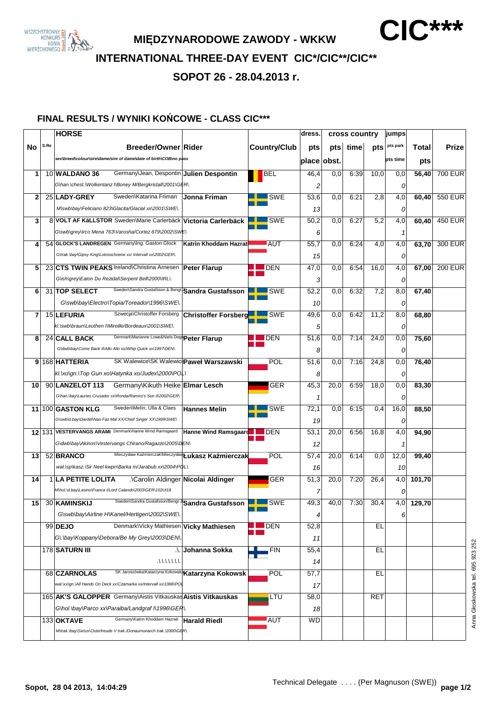

**MI**Ę**DZYNARODOWE ZAWODY - WKKW CIC\*\*\***

**INTERNATIONAL THREE-DAY EVENT CIC\*/CIC\*\*/CIC\*\***

**SOPOT 26 - 28.04.2013 r.**

### **FINAL RESULTS / WYNIKI KO**Ń**COWE - CLASS CIC\*\*\***

|                |      | <b>HORSE</b>                                                              |                                     |                     | dress.      | cross country |      |      | jumps    |                         |                |
|----------------|------|---------------------------------------------------------------------------|-------------------------------------|---------------------|-------------|---------------|------|------|----------|-------------------------|----------------|
| No             | S.Re | <b>Breeder/Owner Rider</b>                                                |                                     | <b>Country/Club</b> | pts         | pts           | time | pts  | pts park | Total                   | Prize          |
|                |      | sex\breed\colour\sire\dame/sire of dame\date of birth\COB\no pass         |                                     |                     | place obst. |               |      |      | pts time | pts                     |                |
|                |      |                                                                           |                                     |                     |             |               |      |      |          |                         |                |
| 1              |      | Germany\Jean, Despontin Julien Despontin<br>10 WALDANO 36                 |                                     | BEL                 | 46,4        | 0,0           | 6:39 | 10,0 | 0,0      | 56,40                   | <b>700 EUR</b> |
|                |      | G\han.\chest.\Wolkentanz I\Boney M/Bergkristall\2001\GER\.                |                                     |                     | 2           |               |      |      | 0        |                         |                |
| $\mathbf{2}$   |      | Sweden\Katarina Friman<br>25 LADY-GREY                                    | Jonna Friman                        | <b>SWE</b>          | 53,6        | 0,0           | 6:21 | 2,8  | 4,0      | 60,40                   | 550 EUR        |
|                |      | M\swb\bay\Feliciano 823\Glacita/Glacial xx\2001\SWE\.                     |                                     |                     | 13          |               |      |      | 0        |                         |                |
| 3              |      | 8 VOLT AF KäLLSTOR Sweden\Marie Carlerbäck Victoria Carlerbäck            |                                     | <b>SWE</b>          | 50,2        | 0,0           | 6:27 | 5,2  | 4,0      | 60,40                   | <b>450 EUR</b> |
|                |      | G\swb\grey\Irco Mena 763\Varosha/Cortez 679\2002\SWE\                     |                                     |                     | 6           |               |      |      | 1        |                         |                |
| 4              |      | 54 GLOCK'S LANDREGEN Germany\Ing. Gaston Glock                            | Katrin Khoddam Hazrati              | AUT                 | 55,7        | 0,0           | 6:24 | 4,0  | 4,0      | 63,70                   | 300 EUR        |
|                |      | G\trak.\bay\Gipsy King\Lotosschoene xx/ Intervall xx\2002\GER\.           |                                     |                     | 15          |               |      |      | 0        |                         |                |
| 5              |      | 23 CTS TWIN PEAKS Ireland\Christina Arnesen                               | <b>Peter Flarup</b>                 | <b>DEN</b>          | 47,0        | 0,0           | 6:54 | 16,0 | 4,0      | 67,00                   | <b>200 EUR</b> |
|                |      | G\ish\grey\Eaton Du Rezidal\Serpent Bell\2000\IRL\.                       |                                     |                     | 3           |               |      |      | 0        |                         |                |
| 6              |      | Sweden\Sandra Gustafsson & Bengt Sandra Gustafsson<br>31 TOP SELECT       |                                     | <b>SWE</b>          | 52,2        | 0,0           | 6:32 | 7,2  | 8,0      | 67,40                   |                |
|                |      | G\swb\bay\Electro\Topia/Toreador\1996\SWE\.                               |                                     |                     | 10          |               |      |      | 0        |                         |                |
| $\overline{7}$ |      | Szwecja\Christoffer Forsberg<br>15 LEFURIA                                | <b>Christoffer Forsberg</b>         | $\blacksquare$ SWE  | 49,6        | 0,0           | 6:42 | 11,2 | 8,0      | 68,80                   |                |
|                |      | kl. \swb\braun\Leuthen I\Mireille/Bordeaux\2001\SWE\.                     |                                     |                     | 5           |               |      |      | 0        |                         |                |
| 8              |      | Denmark\Marianne Lowe&Niels Degl <b>Peter Flarup</b><br>24 CALL BACK      |                                     | <b>DEN</b>          | 51,6        | 0,0           | 7:14 | 24,0 | 0,0      | 75,60                   |                |
|                |      | G\dwb\bay\Come Back II\Allo Allo xx/Whip Quick xx\1997\DEN\.              |                                     |                     |             |               |      |      |          |                         |                |
|                |      |                                                                           |                                     | POL                 | 8           |               | 7:16 |      | 0        |                         |                |
| 9              |      | 168 HATTERIA<br>SK Walewice\SK WalewicePaweł Warszawski                   |                                     |                     | 51,6        | 0,0           |      | 24,8 | 0,0      | 76,40                   |                |
|                |      | kl. volgn. \Top Gun xo\Hatynka xo/Judex\2000\POL\                         |                                     |                     | 8           |               |      |      | 0        |                         |                |
| 10             |      | Germany\Kikuth Heike Elmar Lesch<br>90 LANZELOT 113                       |                                     | GER                 | 45,3        | 20,0          | 6:59 | 18,0 | 0,0      | 83,30                   |                |
|                |      | GVhan. Vbay\Lauries Crusador xx\Ronda/Ramiro's Son II\2002\GER\.          |                                     |                     |             |               |      |      | 0        |                         |                |
|                |      | Sweden\Melin, Ulla & Claes<br>11 100 GASTON KLG                           | <b>Hannes Melin</b>                 | <b>SWE</b>          | 72,1        | 0,0           | 6:15 | 0,4  | 16,0     | 88,50                   |                |
|                |      | G\swb\d.bay\Dardel\Nao Faz Mal XX/Chief Singer XX\1999\SWE\               |                                     |                     | 19          |               |      |      | 0        |                         |                |
|                |      | 12 131 VESTERVANGS ARAMI Denmark\Hanne Wind Ramsgaard                     | Hanne Wind Ramsgaard <b>THE DEN</b> |                     | 53,1        | 20,0          | 6:56 | 16,8 | 4,0      | 94,90                   |                |
|                |      | G\dwb\bay\Akinos\Vestervangs Chirano/Ragazzo\2005\DEN\                    |                                     |                     | 12          |               |      |      | 1        |                         |                |
| 13             |      | Mieczysław Kaźmierczak\Mieczysław <b>Łukasz Kaźmierczak</b><br>52 BRANCO  |                                     | <b>POL</b>          | 57,4        | 20,0          | 6:14 | 0,0  | 12,0     | 99,40                   |                |
|                |      | wał.\sp\kasz.\Sir Neel kwpn\Barka m/Jarabub xx\2004\PQL\.                 |                                     |                     | 16          |               |      |      | 10       |                         |                |
| 14             |      | <b>1 LA PETITE LOLITA</b><br>.\Carolin Aldinger Nicolai Aldinger          |                                     | <b>GER</b>          | 51,3        | 20,0          | 7:20 | 26,4 | 4,0      | 101,70                  |                |
|                |      | M\hol.\d.bay\Lasino\Franca I/Lord Calando\2003\GER\102UI18                |                                     |                     |             |               |      |      | 0        |                         |                |
|                |      | Sweden\Sandra Gustafsson/Bengt JSandra Gustafsson<br>15 30 KAMINSKIJ      |                                     | <b>LACK SWE</b>     | 49,3        | 40,0          | 7:30 | 30,4 |          | $\overline{4,0}$ 129,70 |                |
|                |      | G\swb\bay\Airline H\Kanel/Hertigen\2002\SWE\.                             |                                     |                     | 4           |               |      |      | 6        |                         |                |
|                |      | Denmark\Vicky Mathiesen Vicky Mathiesen<br>99 DEJO                        |                                     | $\blacksquare$ DEN  | 52,8        |               |      | EL   |          |                         |                |
|                |      | Gl. Vbay\Koppany\Debora/Be My Grey\2003\DEN\.                             |                                     |                     | 11          |               |      |      |          |                         |                |
|                |      | 178 SATURN III                                                            | <b>Al</b> Johanna Sokka             | <b>FIN</b>          | 55,4        |               |      | EL   |          |                         |                |
|                |      | 1111111                                                                   |                                     |                     | 14          |               |      |      |          |                         |                |
|                |      | SK Jaroszówka\Katarzyna Kokowska <b>Katarzyna Kokowsk</b><br>68 CZARNOLAS |                                     | <b>POL</b>          | 57,7        |               |      | EL   |          |                         |                |
|                |      | wał.\xx\qn.\All Hands On Deck xx\Czamarka xx/Intervall xx\1996\POL        |                                     |                     | 17          |               |      |      |          |                         |                |
|                |      | 165 AK'S GALOPPER Germany\Aistis Vitkauskas Aistis Vitkauskas             |                                     | LTU                 | 58,0        |               |      | RET  |          |                         |                |
|                |      | G\hol.\bay\Parco xx\Paraiba/Landgraf I\1996\GER\.                         |                                     |                     | 18          |               |      |      |          |                         |                |
|                |      | Germany\Katrin Khoddam Hazrati<br>133 OKTAVE                              | <b>Harald Riedl</b>                 | AUT                 | <b>WD</b>   |               |      |      |          |                         |                |
|                |      |                                                                           |                                     |                     |             |               |      |      |          |                         |                |
|                |      | M\trak.\bay\Sixtus\Osterfreude V trak./Donaumonarch trak.\2000\GER\.      |                                     |                     |             |               |      |      |          |                         |                |